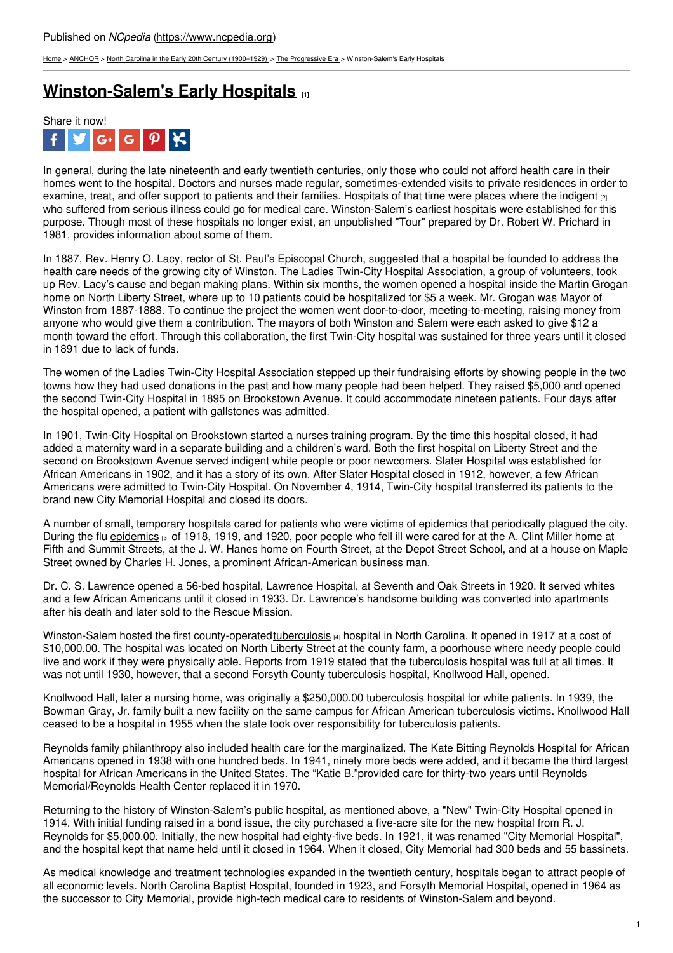[Home](https://www.ncpedia.org/) > [ANCHOR](https://www.ncpedia.org/anchor/anchor) > North Carolina in the Early 20th Century [\(1900–1929\)](https://www.ncpedia.org/anchor/north-carolina-early-20th) > The [Progressive](https://www.ncpedia.org/anchor/progressive-era) Era > Winston-Salem's Early Hospitals

## **[Winston-Salem's](https://www.ncpedia.org/anchor/winston-salems-early) Early Hospitals [1]**



In general, during the late nineteenth and early twentieth centuries, only those who could not afford health care in their homes went to the hospital. Doctors and nurses made regular, sometimes-extended visits to private residences in order to examine, treat, and offer support to patients and their families. Hospitals of that time were places where the [indigent](https://www.ncpedia.org/glossary/indigent)  $_{[2]}$ who suffered from serious illness could go for medical care. Winston-Salem's earliest hospitals were established for this purpose. Though most of these hospitals no longer exist, an unpublished "Tour" prepared by Dr. Robert W. Prichard in 1981, provides information about some of them.

In 1887, Rev. Henry O. Lacy, rector of St. Paul's Episcopal Church, suggested that a hospital be founded to address the health care needs of the growing city of Winston. The Ladies Twin-City Hospital Association, a group of volunteers, took up Rev. Lacy's cause and began making plans. Within six months, the women opened a hospital inside the Martin Grogan home on North Liberty Street, where up to 10 [patients](http://www.social9.com) could be hospitalized for \$5 a week. Mr. Grogan was Mayor of Winston from 1887-1888. To continue the project the women went door-to-door, meeting-to-meeting, raising money from anyone who would give them a contribution. The mayors of both Winston and Salem were each asked to give \$12 a month toward the effort. Through this collaboration, the first Twin-City hospital was sustained for three years until it closed in 1891 due to lack of funds.

The women of the Ladies Twin-City Hospital Association stepped up their fundraising efforts by showing people in the two towns how they had used donations in the past and how many people had been helped. They raised \$5,000 and opened the second Twin-City Hospital in 1895 on Brookstown Avenue. It could accommodate nineteen patients. Four days after the hospital opened, a patient with gallstones was admitted.

In 1901, Twin-City Hospital on Brookstown started a nurses training program. By the time this hospital closed, it had added a maternity ward in a separate building and a children's ward. Both the first hospital on Liberty Street and the second on Brookstown Avenue served indigent white people or poor newcomers. Slater Hospital was established for African Americans in 1902, and it has a story of its own. After Slater Hospital closed in 1912, however, a few African Americans were admitted to Twin-City Hospital. On November 4, 1914, Twin-City hospital transferred its patients to the brand new City Memorial Hospital and closed its doors.

A number of small, temporary hospitals cared for patients who were victims of epidemics that periodically plagued the city. During the flu [epidemics](https://www.ncpedia.org/glossary/epidemic)  $\alpha$  of 1918, 1919, and 1920, poor people who fell ill were cared for at the A. Clint Miller home at Fifth and Summit Streets, at the J. W. Hanes home on Fourth Street, at the Depot Street School, and at a house on Maple Street owned by Charles H. Jones, a prominent African-American business man.

Dr. C. S. Lawrence opened a 56-bed hospital, Lawrence Hospital, at Seventh and Oak Streets in 1920. It served whites and a few African Americans until it closed in 1933. Dr. Lawrence's handsome building was converted into apartments after his death and later sold to the Rescue Mission.

Winston-Salem hosted the first county-operated [tuberculosis](https://www.ncpedia.org/glossary/tuberculosis) [4] hospital in North Carolina. It opened in 1917 at a cost of \$10,000.00. The hospital was located on North Liberty Street at the county farm, a poorhouse where needy people could live and work if they were physically able. Reports from 1919 stated that the tuberculosis hospital was full at all times. It was not until 1930, however, that a second Forsyth County tuberculosis hospital, Knollwood Hall, opened.

Knollwood Hall, later a nursing home, was originally a \$250,000.00 tuberculosis hospital for white patients. In 1939, the Bowman Gray, Jr. family built a new facility on the same campus for African American tuberculosis victims. Knollwood Hall ceased to be a hospital in 1955 when the state took over responsibility for tuberculosis patients.

Reynolds family philanthropy also included health care for the marginalized. The Kate Bitting Reynolds Hospital for African Americans opened in 1938 with one hundred beds. In 1941, ninety more beds were added, and it became the third largest hospital for African Americans in the United States. The "Katie B."provided care for thirty-two years until Reynolds Memorial/Reynolds Health Center replaced it in 1970.

Returning to the history of Winston-Salem's public hospital, as mentioned above, a "New" Twin-City Hospital opened in 1914. With initial funding raised in a bond issue, the city purchased a five-acre site for the new hospital from R. J. Reynolds for \$5,000.00. Initially, the new hospital had eighty-five beds. In 1921, it was renamed "City Memorial Hospital", and the hospital kept that name held until it closed in 1964. When it closed, City Memorial had 300 beds and 55 bassinets.

As medical knowledge and treatment technologies expanded in the twentieth century, hospitals began to attract people of all economic levels. North Carolina Baptist Hospital, founded in 1923, and Forsyth Memorial Hospital, opened in 1964 as the successor to City Memorial, provide high-tech medical care to residents of Winston-Salem and beyond.